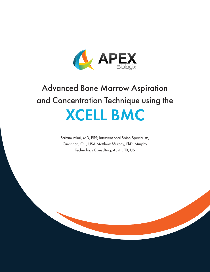

# Advanced Bone Marrow Aspiration and Concentration Technique using the XCELL BMC

Sairam Atluri, MD, FIPP, Interventional Spine Specialists, Cincinnati, OH, USA Matthew Murphy, PhD, Murphy Technology Consulting, Austin, TX, US